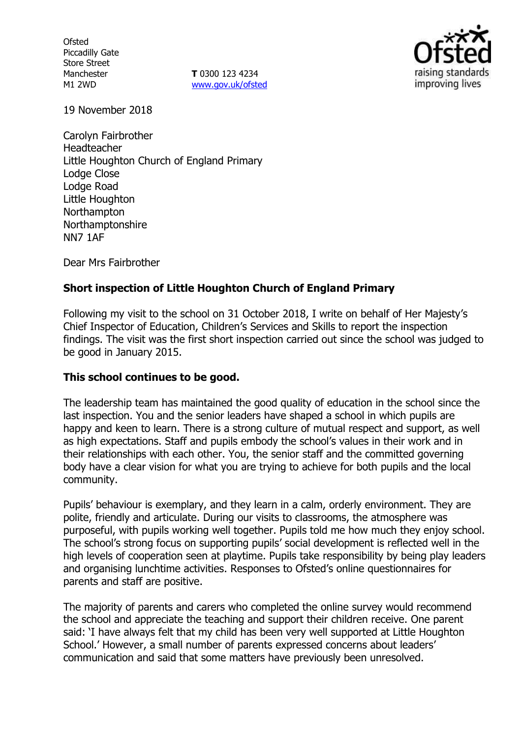**Ofsted** Piccadilly Gate Store Street Manchester M1 2WD

**T** 0300 123 4234 www.gov.uk/ofsted



19 November 2018

Carolyn Fairbrother Headteacher Little Houghton Church of England Primary Lodge Close Lodge Road Little Houghton Northampton Northamptonshire NN7 1AF

Dear Mrs Fairbrother

## **Short inspection of Little Houghton Church of England Primary**

Following my visit to the school on 31 October 2018, I write on behalf of Her Majesty's Chief Inspector of Education, Children's Services and Skills to report the inspection findings. The visit was the first short inspection carried out since the school was judged to be good in January 2015.

### **This school continues to be good.**

The leadership team has maintained the good quality of education in the school since the last inspection. You and the senior leaders have shaped a school in which pupils are happy and keen to learn. There is a strong culture of mutual respect and support, as well as high expectations. Staff and pupils embody the school's values in their work and in their relationships with each other. You, the senior staff and the committed governing body have a clear vision for what you are trying to achieve for both pupils and the local community.

Pupils' behaviour is exemplary, and they learn in a calm, orderly environment. They are polite, friendly and articulate. During our visits to classrooms, the atmosphere was purposeful, with pupils working well together. Pupils told me how much they enjoy school. The school's strong focus on supporting pupils' social development is reflected well in the high levels of cooperation seen at playtime. Pupils take responsibility by being play leaders and organising lunchtime activities. Responses to Ofsted's online questionnaires for parents and staff are positive.

The majority of parents and carers who completed the online survey would recommend the school and appreciate the teaching and support their children receive. One parent said: 'I have always felt that my child has been very well supported at Little Houghton School.' However, a small number of parents expressed concerns about leaders' communication and said that some matters have previously been unresolved.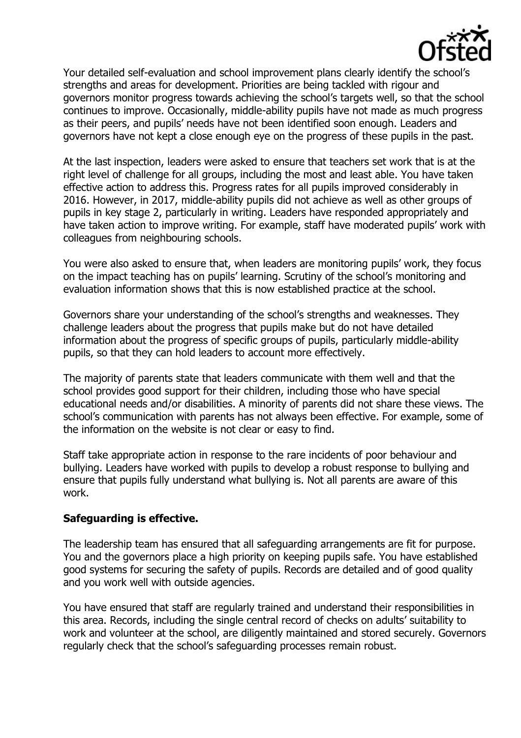

Your detailed self-evaluation and school improvement plans clearly identify the school's strengths and areas for development. Priorities are being tackled with rigour and governors monitor progress towards achieving the school's targets well, so that the school continues to improve. Occasionally, middle-ability pupils have not made as much progress as their peers, and pupils' needs have not been identified soon enough. Leaders and governors have not kept a close enough eye on the progress of these pupils in the past.

At the last inspection, leaders were asked to ensure that teachers set work that is at the right level of challenge for all groups, including the most and least able. You have taken effective action to address this. Progress rates for all pupils improved considerably in 2016. However, in 2017, middle-ability pupils did not achieve as well as other groups of pupils in key stage 2, particularly in writing. Leaders have responded appropriately and have taken action to improve writing. For example, staff have moderated pupils' work with colleagues from neighbouring schools.

You were also asked to ensure that, when leaders are monitoring pupils' work, they focus on the impact teaching has on pupils' learning. Scrutiny of the school's monitoring and evaluation information shows that this is now established practice at the school.

Governors share your understanding of the school's strengths and weaknesses. They challenge leaders about the progress that pupils make but do not have detailed information about the progress of specific groups of pupils, particularly middle-ability pupils, so that they can hold leaders to account more effectively.

The majority of parents state that leaders communicate with them well and that the school provides good support for their children, including those who have special educational needs and/or disabilities. A minority of parents did not share these views. The school's communication with parents has not always been effective. For example, some of the information on the website is not clear or easy to find.

Staff take appropriate action in response to the rare incidents of poor behaviour and bullying. Leaders have worked with pupils to develop a robust response to bullying and ensure that pupils fully understand what bullying is. Not all parents are aware of this work.

### **Safeguarding is effective.**

The leadership team has ensured that all safeguarding arrangements are fit for purpose. You and the governors place a high priority on keeping pupils safe. You have established good systems for securing the safety of pupils. Records are detailed and of good quality and you work well with outside agencies.

You have ensured that staff are regularly trained and understand their responsibilities in this area. Records, including the single central record of checks on adults' suitability to work and volunteer at the school, are diligently maintained and stored securely. Governors regularly check that the school's safeguarding processes remain robust.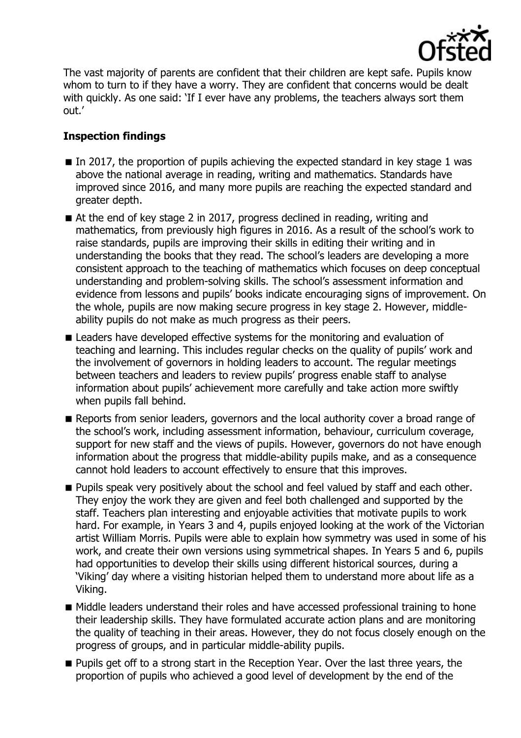

The vast majority of parents are confident that their children are kept safe. Pupils know whom to turn to if they have a worry. They are confident that concerns would be dealt with quickly. As one said: 'If I ever have any problems, the teachers always sort them out.'

# **Inspection findings**

- $\blacksquare$  In 2017, the proportion of pupils achieving the expected standard in key stage 1 was above the national average in reading, writing and mathematics. Standards have improved since 2016, and many more pupils are reaching the expected standard and greater depth.
- At the end of key stage 2 in 2017, progress declined in reading, writing and mathematics, from previously high figures in 2016. As a result of the school's work to raise standards, pupils are improving their skills in editing their writing and in understanding the books that they read. The school's leaders are developing a more consistent approach to the teaching of mathematics which focuses on deep conceptual understanding and problem-solving skills. The school's assessment information and evidence from lessons and pupils' books indicate encouraging signs of improvement. On the whole, pupils are now making secure progress in key stage 2. However, middleability pupils do not make as much progress as their peers.
- **Example 1** Leaders have developed effective systems for the monitoring and evaluation of teaching and learning. This includes regular checks on the quality of pupils' work and the involvement of governors in holding leaders to account. The regular meetings between teachers and leaders to review pupils' progress enable staff to analyse information about pupils' achievement more carefully and take action more swiftly when pupils fall behind.
- Reports from senior leaders, governors and the local authority cover a broad range of the school's work, including assessment information, behaviour, curriculum coverage, support for new staff and the views of pupils. However, governors do not have enough information about the progress that middle-ability pupils make, and as a consequence cannot hold leaders to account effectively to ensure that this improves.
- **Pupils speak very positively about the school and feel valued by staff and each other.** They enjoy the work they are given and feel both challenged and supported by the staff. Teachers plan interesting and enjoyable activities that motivate pupils to work hard. For example, in Years 3 and 4, pupils enjoyed looking at the work of the Victorian artist William Morris. Pupils were able to explain how symmetry was used in some of his work, and create their own versions using symmetrical shapes. In Years 5 and 6, pupils had opportunities to develop their skills using different historical sources, during a 'Viking' day where a visiting historian helped them to understand more about life as a Viking.
- Middle leaders understand their roles and have accessed professional training to hone their leadership skills. They have formulated accurate action plans and are monitoring the quality of teaching in their areas. However, they do not focus closely enough on the progress of groups, and in particular middle-ability pupils.
- **Pupils get off to a strong start in the Reception Year. Over the last three years, the** proportion of pupils who achieved a good level of development by the end of the